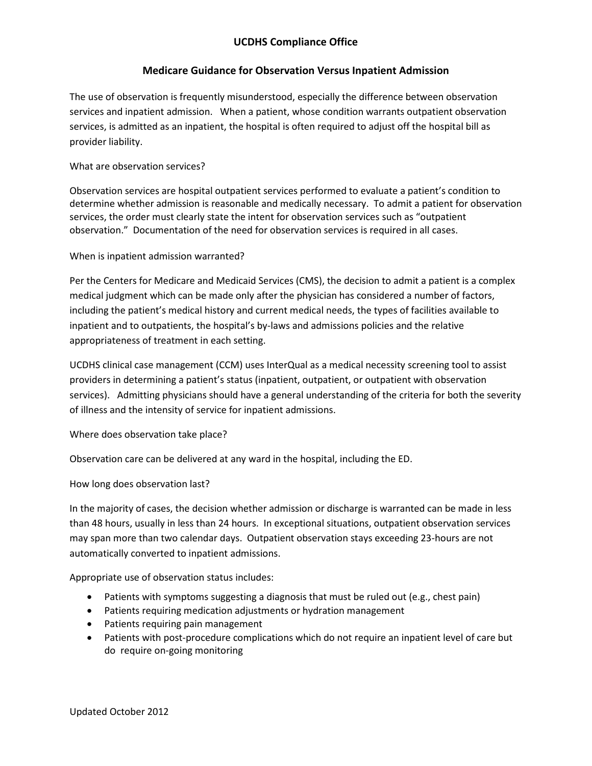## **UCDHS Compliance Office**

## **Medicare Guidance for Observation Versus Inpatient Admission**

The use of observation is frequently misunderstood, especially the difference between observation services and inpatient admission. When a patient, whose condition warrants outpatient observation services, is admitted as an inpatient, the hospital is often required to adjust off the hospital bill as provider liability.

#### What are observation services?

Observation services are hospital outpatient services performed to evaluate a patient's condition to determine whether admission is reasonable and medically necessary. To admit a patient for observation services, the order must clearly state the intent for observation services such as "outpatient observation." Documentation of the need for observation services is required in all cases.

#### When is inpatient admission warranted?

Per the Centers for Medicare and Medicaid Services (CMS), the decision to admit a patient is a complex medical judgment which can be made only after the physician has considered a number of factors, including the patient's medical history and current medical needs, the types of facilities available to inpatient and to outpatients, the hospital's by-laws and admissions policies and the relative appropriateness of treatment in each setting.

UCDHS clinical case management (CCM) uses InterQual as a medical necessity screening tool to assist providers in determining a patient's status (inpatient, outpatient, or outpatient with observation services). Admitting physicians should have a general understanding of the criteria for both the severity of illness and the intensity of service for inpatient admissions.

Where does observation take place?

Observation care can be delivered at any ward in the hospital, including the ED.

How long does observation last?

In the majority of cases, the decision whether admission or discharge is warranted can be made in less than 48 hours, usually in less than 24 hours. In exceptional situations, outpatient observation services may span more than two calendar days. Outpatient observation stays exceeding 23-hours are not automatically converted to inpatient admissions.

Appropriate use of observation status includes:

- Patients with symptoms suggesting a diagnosis that must be ruled out (e.g., chest pain)
- Patients requiring medication adjustments or hydration management
- Patients requiring pain management
- Patients with post-procedure complications which do not require an inpatient level of care but do require on-going monitoring